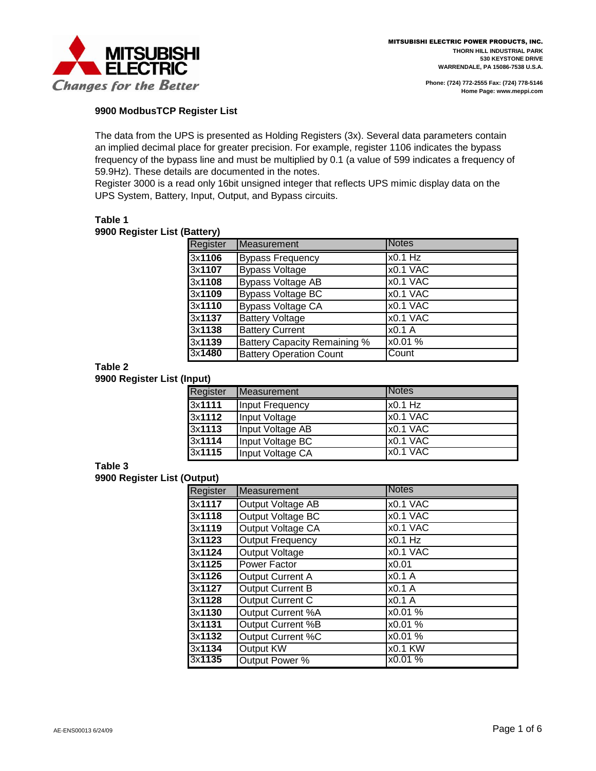

### **9900 ModbusTCP Register List**

The data from the UPS is presented as Holding Registers (3x). Several data parameters contain an implied decimal place for greater precision. For example, register 1106 indicates the bypass frequency of the bypass line and must be multiplied by 0.1 (a value of 599 indicates a frequency of 59.9Hz). These details are documented in the notes.

Register 3000 is a read only 16bit unsigned integer that reflects UPS mimic display data on the UPS System, Battery, Input, Output, and Bypass circuits.

## **Table 1**

#### **9900 Register List (Battery)**

| Register | <b>Measurement</b>                  | <b>Notes</b> |
|----------|-------------------------------------|--------------|
| 3x1106   | <b>Bypass Frequency</b>             | $x0.1$ Hz    |
| 3x1107   | <b>Bypass Voltage</b>               | x0.1 VAC     |
| 3x1108   | <b>Bypass Voltage AB</b>            | x0.1 VAC     |
| 3x1109   | <b>Bypass Voltage BC</b>            | x0.1 VAC     |
| 3x1110   | <b>Bypass Voltage CA</b>            | x0.1 VAC     |
| 3x1137   | <b>Battery Voltage</b>              | x0.1 VAC     |
| 3x1138   | <b>Battery Current</b>              | x0.1 A       |
| 3x1139   | <b>Battery Capacity Remaining %</b> | x0.01 %      |
| 3x1480   | <b>Battery Operation Count</b>      | Count        |

## **Table 2**

**9900 Register List (Input)**

| .        |                  |          |
|----------|------------------|----------|
| Register | Measurement      | Notes    |
| 3x1111   | Input Frequency  | x0.1 Hz  |
| 3x1112   | Input Voltage    | x0.1 VAC |
| 3x1113   | Input Voltage AB | x0.1 VAC |
| 3x1114   | Input Voltage BC | x0.1 VAC |
| 3x1115   | Input Voltage CA | x0.1 VAC |

## **Table 3**

**9900 Register List (Output)**

| Register | Measurement              | <b>Notes</b> |
|----------|--------------------------|--------------|
|          |                          |              |
| 3x1117   | Output Voltage AB        | x0.1 VAC     |
| 3x1118   | Output Voltage BC        | x0.1 VAC     |
| 3x1119   | Output Voltage CA        | x0.1 VAC     |
| 3x1123   | <b>Output Frequency</b>  | x0.1 Hz      |
| 3x1124   | Output Voltage           | $x0.1$ VAC   |
| 3x1125   | Power Factor             | x0.01        |
| 3x1126   | <b>Output Current A</b>  | x0.1 A       |
| 3x1127   | <b>Output Current B</b>  | x0.1 A       |
| 3x1128   | Output Current C         | x0.1 A       |
| 3x1130   | Output Current %A        | x0.01 %      |
| 3x1131   | Output Current %B        | x0.01 %      |
| 3x1132   | <b>Output Current %C</b> | x0.01 %      |
| 3x1134   | Output KW                | x0.1 KW      |
| 3x1135   | Output Power %           | x0.01 %      |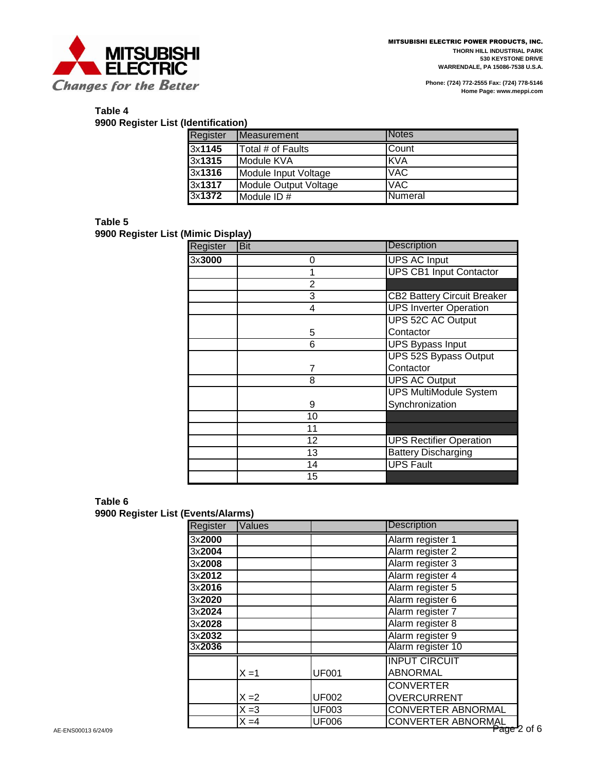

# **Table 4**

**9900 Register List (Identification)**

| Register       | Measurement           | <b>INotes</b>   |
|----------------|-----------------------|-----------------|
| 3x1145         | Total # of Faults     | Count           |
| 3x1315         | Module KVA            | <b>IKVA</b>     |
| 3x1316         | Module Input Voltage  | <b>VAC</b>      |
| 3x1317         | Module Output Voltage | <b>VAC</b>      |
| 3x <b>1372</b> | Module ID #           | <b>INumeral</b> |

### **Table 5**

**9900 Register List (Mimic Display)**

| Register | Bit            | <b>Description</b>                 |
|----------|----------------|------------------------------------|
| 3x3000   | 0              | <b>UPS AC Input</b>                |
|          | 1              | <b>UPS CB1 Input Contactor</b>     |
|          | $\overline{2}$ |                                    |
|          | 3              | <b>CB2 Battery Circuit Breaker</b> |
|          | 4              | <b>UPS Inverter Operation</b>      |
|          |                | <b>UPS 52C AC Output</b>           |
|          | 5              | Contactor                          |
|          | 6              | <b>UPS Bypass Input</b>            |
|          |                | UPS 52S Bypass Output              |
|          | 7              | Contactor                          |
|          | 8              | <b>UPS AC Output</b>               |
|          |                | <b>UPS MultiModule System</b>      |
|          | 9              | Synchronization                    |
|          | 10             |                                    |
|          | 11             |                                    |
|          | 12             | <b>UPS Rectifier Operation</b>     |
|          | 13             | <b>Battery Discharging</b>         |
|          | 14             | <b>UPS Fault</b>                   |
|          | 15             |                                    |

| Table 6                            |  |
|------------------------------------|--|
| 9900 Register List (Events/Alarms) |  |

| Register | Values  |              | <b>Description</b>                       |
|----------|---------|--------------|------------------------------------------|
| 3x2000   |         |              | Alarm register 1                         |
| 3x2004   |         |              | Alarm register 2                         |
| 3x2008   |         |              | Alarm register 3                         |
| 3x2012   |         |              | Alarm register 4                         |
| 3x2016   |         |              | Alarm register 5                         |
| 3x2020   |         |              | Alarm register 6                         |
| 3x2024   |         |              | Alarm register 7                         |
| 3x2028   |         |              | Alarm register 8                         |
| 3x2032   |         |              | Alarm register 9                         |
| 3x2036   |         |              | Alarm register 10                        |
|          |         |              | <b>INPUT CIRCUIT</b>                     |
|          | $X = 1$ | <b>UF001</b> | <b>ABNORMAL</b>                          |
|          |         |              | <b>CONVERTER</b>                         |
|          | $X = 2$ | <b>UF002</b> | <b>OVERCURRENT</b>                       |
|          | $X = 3$ | <b>UF003</b> | <b>CONVERTER ABNORMAL</b>                |
|          | $X = 4$ | <b>UF006</b> | CONVERTER ABNORMAL<br>CONVERTER ABNORMAL |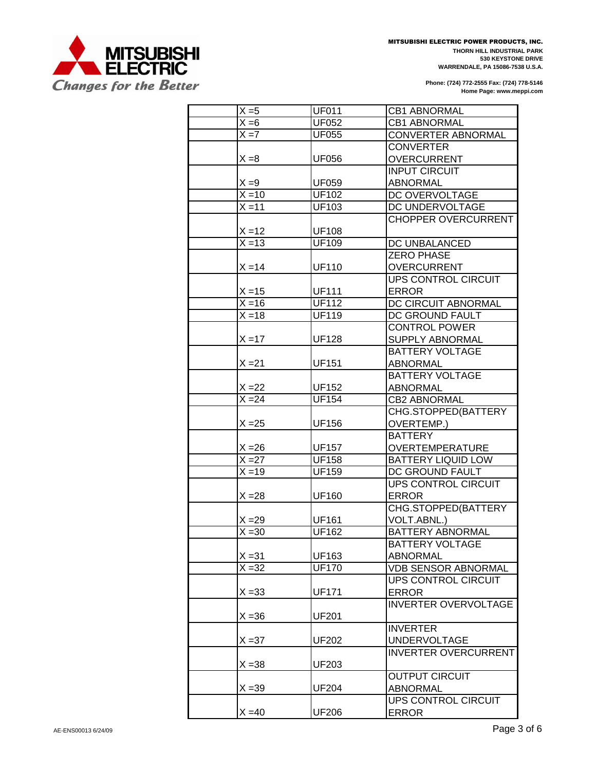

| $X = 5$            | <b>UF011</b>        | <b>CB1 ABNORMAL</b>         |
|--------------------|---------------------|-----------------------------|
| $X = 6$            | <b>UF052</b>        | <b>CB1 ABNORMAL</b>         |
| $X = 7$            | <b>UF055</b>        | <b>CONVERTER ABNORMAL</b>   |
|                    |                     | <b>CONVERTER</b>            |
| $X = 8$            | <b>UF056</b>        | <b>OVERCURRENT</b>          |
|                    |                     | <b>INPUT CIRCUIT</b>        |
| $X = 9$            | <b>UF059</b>        | <b>ABNORMAL</b>             |
| $X = 10$           | <b>UF102</b>        | DC OVERVOLTAGE              |
| $X = 11$           | <b>UF103</b>        | DC UNDERVOLTAGE             |
|                    |                     | <b>CHOPPER OVERCURRENT</b>  |
| $X = 12$           | <b>UF108</b>        |                             |
| $\overline{X}$ =13 | <b>UF109</b>        | DC UNBALANCED               |
|                    |                     | <b>ZERO PHASE</b>           |
| $X = 14$           | <b>UF110</b>        | <b>OVERCURRENT</b>          |
|                    |                     | <b>UPS CONTROL CIRCUIT</b>  |
| $X = 15$           | <b>UF111</b>        | <b>ERROR</b>                |
| $X = 16$           | <b>UF112</b>        | DC CIRCUIT ABNORMAL         |
| $X = 18$           | <b>UF119</b>        | DC GROUND FAULT             |
|                    |                     | <b>CONTROL POWER</b>        |
| $X = 17$           | <b>UF128</b>        | SUPPLY ABNORMAL             |
|                    |                     | <b>BATTERY VOLTAGE</b>      |
| $X = 21$           | <b>UF151</b>        | <b>ABNORMAL</b>             |
|                    |                     | <b>BATTERY VOLTAGE</b>      |
| $X = 22$           | <b>UF152</b>        | <b>ABNORMAL</b>             |
| $X = 24$           | $\overline{UF}$ 154 | <b>CB2 ABNORMAL</b>         |
|                    |                     | CHG.STOPPED(BATTERY         |
| $X = 25$           | <b>UF156</b>        | OVERTEMP.)                  |
|                    |                     | <b>BATTERY</b>              |
| $X = 26$           | <b>UF157</b>        | <b>OVERTEMPERATURE</b>      |
| $X = 27$           | <b>UF158</b>        | <b>BATTERY LIQUID LOW</b>   |
| $X = 19$           | <b>UF159</b>        | DC GROUND FAULT             |
|                    |                     | <b>UPS CONTROL CIRCUIT</b>  |
| $X = 28$           | <b>UF160</b>        | <b>ERROR</b>                |
|                    |                     | CHG.STOPPED(BATTERY         |
| $X = 29$           | <b>UF161</b>        | VOLT.ABNL.)                 |
| $X = 30$           | <b>UF162</b>        | <b>BATTERY ABNORMAL</b>     |
|                    |                     | <b>BATTERY VOLTAGE</b>      |
| $X = 31$           | UF163               | <b>ABNORMAL</b>             |
| $X = 32$           | <b>UF170</b>        | <b>VDB SENSOR ABNORMAL</b>  |
|                    |                     | <b>UPS CONTROL CIRCUIT</b>  |
| $X = 33$           | <b>UF171</b>        | <b>ERROR</b>                |
|                    |                     | <b>INVERTER OVERVOLTAGE</b> |
| $X = 36$           | <b>UF201</b>        |                             |
|                    |                     | <b>INVERTER</b>             |
|                    |                     |                             |
| $X = 37$           | UF202               | <b>UNDERVOLTAGE</b>         |
|                    |                     | <b>INVERTER OVERCURRENT</b> |
| $X = 38$           | UF203               |                             |
|                    |                     | <b>OUTPUT CIRCUIT</b>       |
| $X = 39$           | <b>UF204</b>        | ABNORMAL                    |
|                    |                     | UPS CONTROL CIRCUIT         |
| $X = 40$           | <b>UF206</b>        | ERROR                       |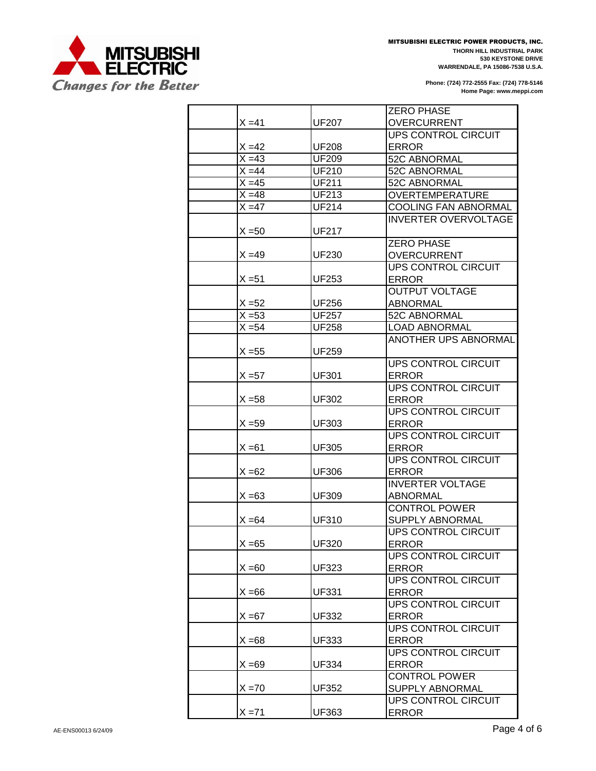

|                    |              | <b>ZERO PHASE</b>           |
|--------------------|--------------|-----------------------------|
| X =41              | <b>UF207</b> | <b>OVERCURRENT</b>          |
|                    |              | UPS CONTROL CIRCUIT         |
| $X = 42$           | <b>UF208</b> | <b>ERROR</b>                |
| $X = 43$           | <b>UF209</b> | 52C ABNORMAL                |
| $X = 44$           | <b>UF210</b> | 52C ABNORMAL                |
| $X = 45$           | <b>UF211</b> | 52C ABNORMAL                |
| $X = 48$           | <b>UF213</b> | <b>OVERTEMPERATURE</b>      |
| $X = 47$           | <b>UF214</b> | <b>COOLING FAN ABNORMAL</b> |
|                    |              | <b>INVERTER OVERVOLTAGE</b> |
| $X = 50$           | <b>UF217</b> |                             |
|                    |              | <b>ZERO PHASE</b>           |
| X =49              | <b>UF230</b> | <b>OVERCURRENT</b>          |
|                    |              | <b>UPS CONTROL CIRCUIT</b>  |
| X =51              | UF253        | <b>ERROR</b>                |
|                    |              | <b>OUTPUT VOLTAGE</b>       |
| X =52              | <b>UF256</b> | <b>ABNORMAL</b>             |
| $\overline{X}$ =53 | <b>UF257</b> | 52C ABNORMAL                |
| $X = 54$           | <b>UF258</b> | <b>LOAD ABNORMAL</b>        |
|                    |              | ANOTHER UPS ABNORMAL        |
| X =55              | <b>UF259</b> |                             |
|                    |              | <b>UPS CONTROL CIRCUIT</b>  |
| X =57              | UF301        | <b>ERROR</b>                |
|                    |              | <b>UPS CONTROL CIRCUIT</b>  |
|                    |              |                             |
| $X = 58$           | <b>UF302</b> | <b>ERROR</b>                |
|                    |              | UPS CONTROL CIRCUIT         |
| $X = 59$           | <b>UF303</b> | <b>ERROR</b>                |
|                    |              | UPS CONTROL CIRCUIT         |
| $X = 61$           | <b>UF305</b> | <b>ERROR</b>                |
|                    |              | <b>UPS CONTROL CIRCUIT</b>  |
| $X = 62$           | <b>UF306</b> | <b>ERROR</b>                |
|                    |              | <b>INVERTER VOLTAGE</b>     |
| $X = 63$           | UF309        | <b>ABNORMAL</b>             |
|                    |              | <b>CONTROL POWER</b>        |
| X =64              | <b>UF310</b> | <b>SUPPLY ABNORMAL</b>      |
|                    |              | <b>UPS CONTROL CIRCUIT</b>  |
| $X = 65$           | <b>UF320</b> | ERROR                       |
|                    |              | <b>UPS CONTROL CIRCUIT</b>  |
| $X = 60$           | <b>UF323</b> | <b>ERROR</b>                |
|                    |              | UPS CONTROL CIRCUIT         |
| X =66              | <b>UF331</b> | <b>ERROR</b>                |
|                    |              | UPS CONTROL CIRCUIT         |
| X =67              | <b>UF332</b> |                             |
|                    |              | <b>ERROR</b>                |
|                    |              | UPS CONTROL CIRCUIT         |
| $X = 68$           | <b>UF333</b> | <b>ERROR</b>                |
|                    |              | UPS CONTROL CIRCUIT         |
| $X = 69$           | <b>UF334</b> | <b>ERROR</b>                |
|                    |              | <b>CONTROL POWER</b>        |
| X =70              | UF352        | <b>SUPPLY ABNORMAL</b>      |
|                    |              | UPS CONTROL CIRCUIT         |
| $X = 71$           | UF363        | <b>ERROR</b>                |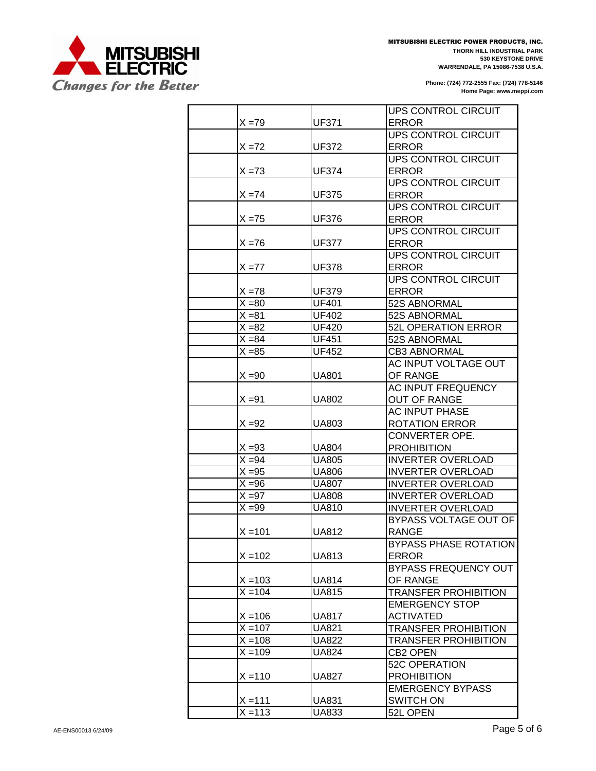

MITSUBISHI ELECTRIC POWER PRODUCTS, INC. **THORN HILL INDUSTRIAL PARK 530 KEYSTONE DRIVE WARRENDALE, PA 15086-7538 U.S.A.**

|           |              | UPS CONTROL CIRCUIT          |
|-----------|--------------|------------------------------|
| $X = 79$  | UF371        | <b>ERROR</b>                 |
|           |              | UPS CONTROL CIRCUIT          |
| $X = 72$  | UF372        | <b>ERROR</b>                 |
|           |              | UPS CONTROL CIRCUIT          |
| $X = 73$  | <b>UF374</b> | <b>ERROR</b>                 |
|           |              | <b>UPS CONTROL CIRCUIT</b>   |
| $X = 74$  | <b>UF375</b> | <b>ERROR</b>                 |
|           |              | <b>UPS CONTROL CIRCUIT</b>   |
| $X = 75$  | <b>UF376</b> | <b>ERROR</b>                 |
|           |              | <b>UPS CONTROL CIRCUIT</b>   |
| $X = 76$  | <b>UF377</b> | <b>ERROR</b>                 |
|           |              | <b>UPS CONTROL CIRCUIT</b>   |
| $X = 77$  | <b>UF378</b> | <b>ERROR</b>                 |
|           |              | <b>UPS CONTROL CIRCUIT</b>   |
| $X = 78$  | UF379        | <b>ERROR</b>                 |
| $X = 80$  | <b>UF401</b> | 52S ABNORMAL                 |
| $X = 81$  | <b>UF402</b> | 52S ABNORMAL                 |
| $X = 82$  | <b>UF420</b> | 52L OPERATION ERROR          |
| $X = 84$  | <b>UF451</b> | 52S ABNORMAL                 |
| $X = 85$  | <b>UF452</b> | <b>CB3 ABNORMAL</b>          |
|           |              | AC INPUT VOLTAGE OUT         |
| $X = 90$  | <b>UA801</b> | OF RANGE                     |
|           |              | <b>AC INPUT FREQUENCY</b>    |
| $X = 91$  | UA802        | <b>OUT OF RANGE</b>          |
|           |              | <b>AC INPUT PHASE</b>        |
| $X = 92$  | UA803        | <b>ROTATION ERROR</b>        |
|           |              | CONVERTER OPE.               |
| $X = 93$  | <b>UA804</b> | <b>PROHIBITION</b>           |
| $X = 94$  | <b>UA805</b> | <b>INVERTER OVERLOAD</b>     |
| $X = 95$  | <b>UA806</b> | <b>INVERTER OVERLOAD</b>     |
| $X = 96$  | <b>UA807</b> | <b>INVERTER OVERLOAD</b>     |
| $X = 97$  | <b>UA808</b> | <b>INVERTER OVERLOAD</b>     |
| $X = 99$  | <b>UA810</b> | <b>INVERTER OVERLOAD</b>     |
|           |              | <b>BYPASS VOLTAGE OUT OF</b> |
| $X = 101$ | <b>UA812</b> | <b>RANGE</b>                 |
|           |              | BYPASS PHASE ROTATION        |
| $X = 102$ | <b>UA813</b> | <b>ERROR</b>                 |
|           |              | BYPASS FREQUENCY OUT         |
| $X = 103$ | UA814        | OF RANGE                     |
| $X = 104$ | <b>UA815</b> | <b>TRANSFER PROHIBITION</b>  |
|           |              | <b>EMERGENCY STOP</b>        |
| $X = 106$ | UA817        | <b>ACTIVATED</b>             |
| $X = 107$ | <b>UA821</b> | <b>TRANSFER PROHIBITION</b>  |
| $X = 108$ | UA822        | <b>TRANSFER PROHIBITION</b>  |
| $X = 109$ | <b>UA824</b> | CB2 OPEN                     |
|           |              | <b>52C OPERATION</b>         |
| $X = 110$ | <b>UA827</b> | <b>PROHIBITION</b>           |
|           |              | <b>EMERGENCY BYPASS</b>      |
| $X = 111$ | <b>UA831</b> | <b>SWITCH ON</b>             |
| $X = 113$ | UA833        | 52L OPEN                     |
|           |              |                              |